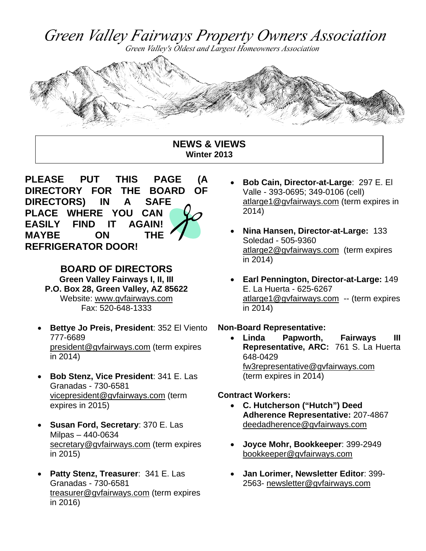Green Valley Fairways Property Owners Association

Green Valley's Oldest and Largest Homeowners Association



#### **NEWS & VIEWS Winter 2013**



**BOARD OF DIRECTORS Green Valley Fairways I, II, III P.O. Box 28, Green Valley, AZ 85622** Website: www.gvfairways.com Fax: 520-648-1333

- **Bettye Jo Preis, President**: 352 El Viento 777-6689 president@gvfairways.com (term expires in 2014)
- **Bob Stenz, Vice President**: 341 E. Las Granadas - 730-6581 vicepresident@gvfairways.com (term expires in 2015)
- **Susan Ford, Secretary**: 370 E. Las Milpas – 440-0634 secretary@gvfairways.com (term expires in 2015)
- **Patty Stenz, Treasurer**: 341 E. Las Granadas - 730-6581 treasurer@gvfairways.com (term expires in 2016)
- **Bob Cain, Director-at-Large**: 297 E. El Valle - 393-0695; 349-0106 (cell) atlarge1@gvfairways.com (term expires in 2014)
- **Nina Hansen, Director-at-Large:** 133 Soledad - 505-9360 atlarge2@gvfairways.com (term expires in 2014)
- **Earl Pennington, Director-at-Large:** 149 E. La Huerta - 625-6267 atlarge1@gvfairways.com -- (term expires in 2014)

#### **Non-Board Representative:**

 **Linda Papworth, Fairways III Representative, ARC:** 761 S. La Huerta 648-0429 fw3representative@gvfairways.com (term expires in 2014)

#### **Contract Workers:**

- **C. Hutcherson ("Hutch") Deed Adherence Representative:** 207-4867 deedadherence@gvfairways.com
- **Joyce Mohr, Bookkeeper**: 399-2949 bookkeeper@gvfairways.com
- **Jan Lorimer, Newsletter Editor**: 399- 2563- newsletter@gvfairways.com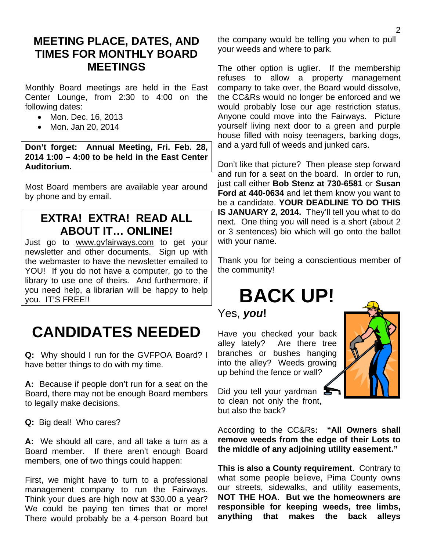### **MEETING PLACE, DATES, AND TIMES FOR MONTHLY BOARD MEETINGS**

Monthly Board meetings are held in the East Center Lounge, from 2:30 to 4:00 on the following dates:

- Mon. Dec. 16, 2013
- Mon. Jan 20, 2014

**Don't forget: Annual Meeting, Fri. Feb. 28, 2014 1:00 – 4:00 to be held in the East Center Auditorium.** 

Most Board members are available year around by phone and by email.

## **EXTRA! EXTRA! READ ALL ABOUT IT… ONLINE!**

Just go to www.gvfairways.com to get your newsletter and other documents. Sign up with the webmaster to have the newsletter emailed to YOU! If you do not have a computer, go to the library to use one of theirs. And furthermore, if you need help, a librarian will be happy to help you. IT'S FREE!!

# **CANDIDATES NEEDED**

**Q:** Why should I run for the GVFPOA Board? I have better things to do with my time.

**A:** Because if people don't run for a seat on the Board, there may not be enough Board members to legally make decisions.

**Q:** Big deal! Who cares?

**A:** We should all care, and all take a turn as a Board member. If there aren't enough Board members, one of two things could happen:

First, we might have to turn to a professional management company to run the Fairways. Think your dues are high now at \$30.00 a year? We could be paying ten times that or more! There would probably be a 4-person Board but the company would be telling you when to pull your weeds and where to park.

The other option is uglier. If the membership refuses to allow a property management company to take over, the Board would dissolve, the CC&Rs would no longer be enforced and we would probably lose our age restriction status. Anyone could move into the Fairways. Picture yourself living next door to a green and purple house filled with noisy teenagers, barking dogs, and a yard full of weeds and junked cars.

Don't like that picture? Then please step forward and run for a seat on the board. In order to run, just call either **Bob Stenz at 730-6581** or **Susan Ford at 440-0634** and let them know you want to be a candidate. **YOUR DEADLINE TO DO THIS IS JANUARY 2, 2014.** They'll tell you what to do next. One thing you will need is a short (about 2 or 3 sentences) bio which will go onto the ballot with your name.

Thank you for being a conscientious member of the community!

# **BACK UP!**

Yes, *you***!**

Have you checked your back alley lately? Are there tree branches or bushes hanging into the alley? Weeds growing up behind the fence or wall?



Did you tell your yardman to clean not only the front, but also the back?

According to the CC&Rs**: "All Owners shall remove weeds from the edge of their Lots to the middle of any adjoining utility easement."** 

**This is also a County requirement**. Contrary to what some people believe, Pima County owns our streets, sidewalks, and utility easements, **NOT THE HOA**. **But we the homeowners are responsible for keeping weeds, tree limbs, anything that makes the back alleys**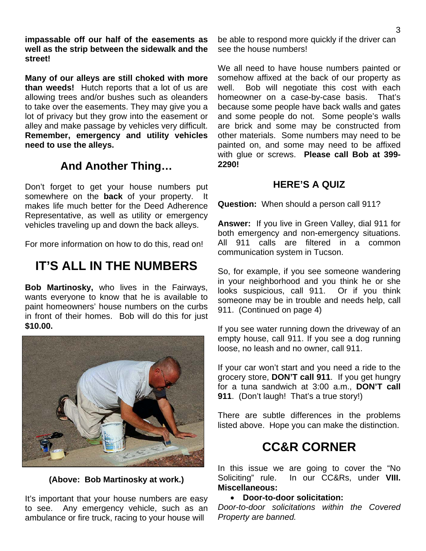**impassable off our half of the easements as well as the strip between the sidewalk and the street!** 

**Many of our alleys are still choked with more than weeds!** Hutch reports that a lot of us are allowing trees and/or bushes such as oleanders to take over the easements. They may give you a lot of privacy but they grow into the easement or alley and make passage by vehicles very difficult. **Remember, emergency and utility vehicles need to use the alleys.** 

## **And Another Thing…**

Don't forget to get your house numbers put somewhere on the **back** of your property. It makes life much better for the Deed Adherence Representative, as well as utility or emergency vehicles traveling up and down the back alleys.

For more information on how to do this, read on!

## **IT'S ALL IN THE NUMBERS**

**Bob Martinosky,** who lives in the Fairways, wants everyone to know that he is available to paint homeowners' house numbers on the curbs in front of their homes. Bob will do this for just **\$10.00.** 



**(Above: Bob Martinosky at work.)** 

It's important that your house numbers are easy to see. Any emergency vehicle, such as an ambulance or fire truck, racing to your house will

be able to respond more quickly if the driver can see the house numbers!

We all need to have house numbers painted or somehow affixed at the back of our property as well. Bob will negotiate this cost with each homeowner on a case-by-case basis. That's because some people have back walls and gates and some people do not. Some people's walls are brick and some may be constructed from other materials. Some numbers may need to be painted on, and some may need to be affixed with glue or screws. **Please call Bob at 399- 2290!**

#### **HERE'S A QUIZ**

**Question:** When should a person call 911?

**Answer:** If you live in Green Valley, dial 911 for both emergency and non-emergency situations. All 911 calls are filtered in a common communication system in Tucson.

So, for example, if you see someone wandering in your neighborhood and you think he or she looks suspicious, call 911. Or if you think someone may be in trouble and needs help, call 911. (Continued on page 4)

If you see water running down the driveway of an empty house, call 911. If you see a dog running loose, no leash and no owner, call 911.

If your car won't start and you need a ride to the grocery store, **DON'T call 911**. If you get hungry for a tuna sandwich at 3:00 a.m., **DON'T call 911**. (Don't laugh! That's a true story!)

There are subtle differences in the problems listed above. Hope you can make the distinction.

# **CC&R CORNER**

In this issue we are going to cover the "No Soliciting" rule. In our CC&Rs, under **VIII. Miscellaneous:**

#### **Door-to-door solicitation:**

*Door-to-door solicitations within the Covered Property are banned.*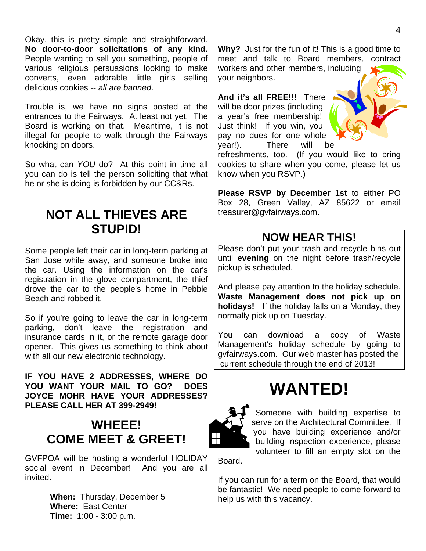Okay, this is pretty simple and straightforward. **No door-to-door solicitations of any kind.** People wanting to sell you something, people of various religious persuasions looking to make converts, even adorable little girls selling delicious cookies -- *all are banned*.

Trouble is, we have no signs posted at the entrances to the Fairways. At least not yet. The Board is working on that. Meantime, it is not illegal for people to walk through the Fairways knocking on doors.

So what can *YOU* do? At this point in time all you can do is tell the person soliciting that what he or she is doing is forbidden by our CC&Rs.

## **NOT ALL THIEVES ARE STUPID!**

Some people left their car in long-term parking at San Jose while away, and someone broke into the car. Using the information on the car's registration in the glove compartment, the thief drove the car to the people's home in Pebble Beach and robbed it.

So if you're going to leave the car in long-term parking, don't leave the registration and insurance cards in it, or the remote garage door opener. This gives us something to think about with all our new electronic technology.

**IF YOU HAVE 2 ADDRESSES, WHERE DO YOU WANT YOUR MAIL TO GO? DOES JOYCE MOHR HAVE YOUR ADDRESSES? PLEASE CALL HER AT 399-2949!** 

# **WHEEE! COME MEET & GREET!**

GVFPOA will be hosting a wonderful HOLIDAY social event in December! And you are all invited.

> **When:** Thursday, December 5  **Where:** East Center  **Time:** 1:00 - 3:00 p.m.

**Why?** Just for the fun of it! This is a good time to meet and talk to Board members, contract workers and other members, including your neighbors.

**And it's all FREE!!!** There will be door prizes (including a year's free membership! Just think! If you win, you pay no dues for one whole year!). There will be



refreshments, too. (If you would like to bring cookies to share when you come, please let us know when you RSVP.)

**Please RSVP by December 1st** to either PO Box 28, Green Valley, AZ 85622 or email treasurer@gvfairways.com.

### **NOW HEAR THIS!**

Please don't put your trash and recycle bins out until **evening** on the night before trash/recycle pickup is scheduled.

And please pay attention to the holiday schedule. **Waste Management does not pick up on holidays!** If the holiday falls on a Monday, they normally pick up on Tuesday.

You can download a copy of Waste Management's holiday schedule by going to gvfairways.com. Our web master has posted the current schedule through the end of 2013!

# **WANTED!**



Someone with building expertise to serve on the Architectural Committee. If you have building experience and/or building inspection experience, please volunteer to fill an empty slot on the

Board.

If you can run for a term on the Board, that would be fantastic! We need people to come forward to help us with this vacancy.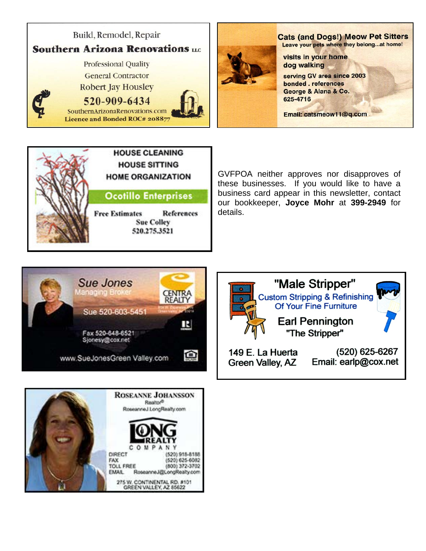





GVFPOA neither approves nor disapproves of these businesses. If you would like to have a business card appear in this newsletter, contact our bookkeeper, **Joyce Mohr** at **399-2949** for details.